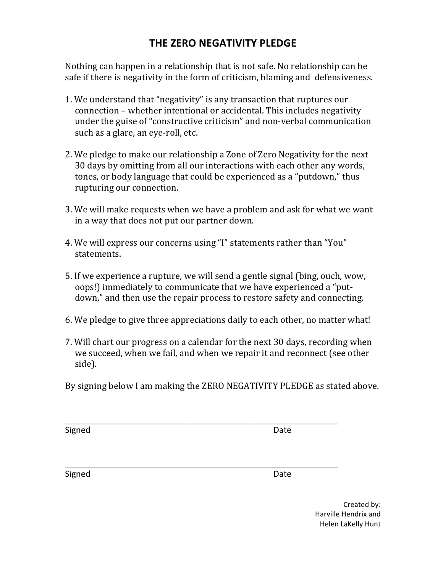## **THE ZERO NEGATIVITY PLEDGE**

Nothing can happen in a relationship that is not safe. No relationship can be safe if there is negativity in the form of criticism, blaming and defensiveness.

- 1. We understand that "negativity" is any transaction that ruptures our connection – whether intentional or accidental. This includes negativity under the guise of "constructive criticism" and non-verbal communication such as a glare, an eye-roll, etc.
- 2. We pledge to make our relationship a Zone of Zero Negativity for the next 30 days by omitting from all our interactions with each other any words, tones, or body language that could be experienced as a "putdown," thus rupturing our connection.
- 3. We will make requests when we have a problem and ask for what we want in a way that does not put our partner down.
- 4. We will express our concerns using "I" statements rather than "You" statements.
- 5. If we experience a rupture, we will send a gentle signal (bing, ouch, wow, oops!) immediately to communicate that we have experienced a "putdown," and then use the repair process to restore safety and connecting.
- 6. We pledge to give three appreciations daily to each other, no matter what!
- 7. Will chart our progress on a calendar for the next 30 days, recording when we succeed, when we fail, and when we repair it and reconnect (see other side).
- By signing below I am making the ZERO NEGATIVITY PLEDGE as stated above.

Signed **Date** 

Signed Date **Date** 

Created by: Harville Hendrix and Helen LaKelly Hunt